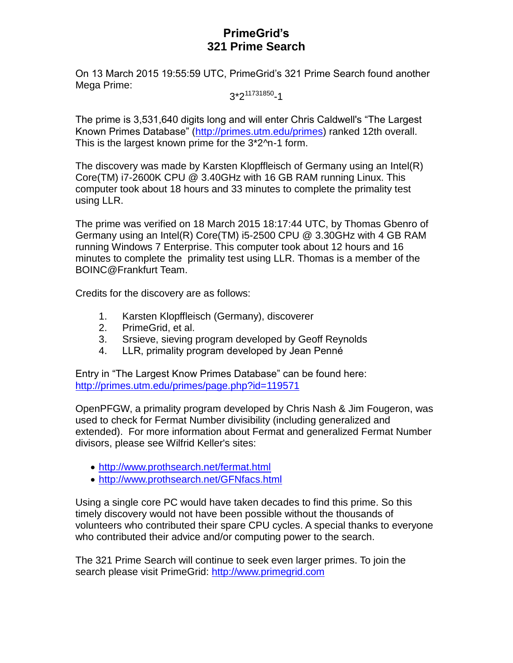# **PrimeGrid's 321 Prime Search**

On 13 March 2015 19:55:59 UTC, PrimeGrid's 321 Prime Search found another Mega Prime:

3\*2<sup>11731850</sup>-1

The prime is 3,531,640 digits long and will enter Chris Caldwell's "The Largest Known Primes Database" [\(http://primes.utm.edu/primes\)](http://primes.utm.edu/primes) ranked 12th overall. This is the largest known prime for the 3\*2^n-1 form.

The discovery was made by Karsten Klopffleisch of Germany using an Intel(R) Core(TM) i7-2600K CPU @ 3.40GHz with 16 GB RAM running Linux. This computer took about 18 hours and 33 minutes to complete the primality test using LLR.

The prime was verified on 18 March 2015 18:17:44 UTC, by Thomas Gbenro of Germany using an Intel(R) Core(TM) i5-2500 CPU @ 3.30GHz with 4 GB RAM running Windows 7 Enterprise. This computer took about 12 hours and 16 minutes to complete the primality test using LLR. Thomas is a member of the BOINC@Frankfurt Team.

Credits for the discovery are as follows:

- 1. Karsten Klopffleisch (Germany), discoverer
- 2. PrimeGrid, et al.
- 3. Srsieve, sieving program developed by Geoff Reynolds
- 4. LLR, primality program developed by Jean Penné

Entry in "The Largest Know Primes Database" can be found here: <http://primes.utm.edu/primes/page.php?id=119571>

OpenPFGW, a primality program developed by Chris Nash & Jim Fougeron, was used to check for Fermat Number divisibility (including generalized and extended). For more information about Fermat and generalized Fermat Number divisors, please see Wilfrid Keller's sites:

- <http://www.prothsearch.net/fermat.html>
- <http://www.prothsearch.net/GFNfacs.html>

Using a single core PC would have taken decades to find this prime. So this timely discovery would not have been possible without the thousands of volunteers who contributed their spare CPU cycles. A special thanks to everyone who contributed their advice and/or computing power to the search.

The 321 Prime Search will continue to seek even larger primes. To join the search please visit PrimeGrid: [http://www.primegrid.com](http://www.primegrid.com/)